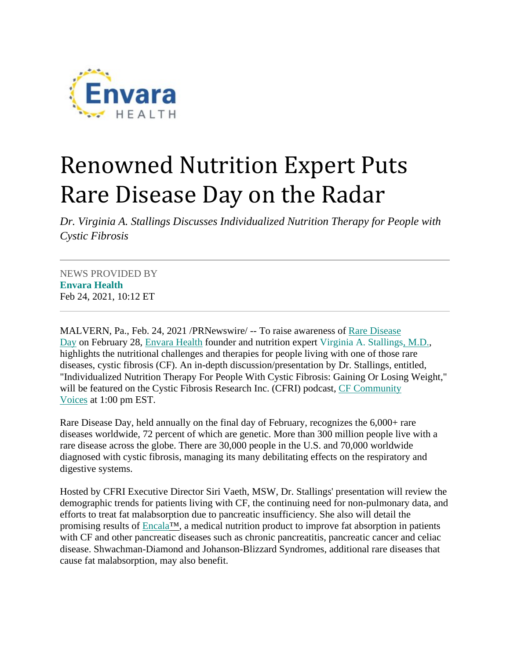

## Renowned Nutrition Expert Puts Rare Disease Day on the Radar

*Dr. Virginia A. Stallings Discusses Individualized Nutrition Therapy for People with Cystic Fibrosis*

NEWS PROVIDED BY **[Envara Health](https://www.prnewswire.com/news/envara-health/)** Feb 24, 2021, 10:12 ET

MALVERN, Pa., Feb. 24, 2021 /PRNewswire/ -- To raise awareness of [Rare Disease](https://c212.net/c/link/?t=0&l=en&o=3077570-1&h=448587467&u=https%3A%2F%2Fwww.rarediseaseday.org%2F&a=Rare+Disease+Day)  [Day](https://c212.net/c/link/?t=0&l=en&o=3077570-1&h=448587467&u=https%3A%2F%2Fwww.rarediseaseday.org%2F&a=Rare+Disease+Day) on February 28, [Envara Health](https://c212.net/c/link/?t=0&l=en&o=3077570-1&h=2966117790&u=https%3A%2F%2Fenvarahealth.com%2F&a=Envara+Health) founder and nutrition expert [Virginia A. Stallings, M.D.,](https://c212.net/c/link/?t=0&l=en&o=3077570-1&h=300802939&u=https%3A%2F%2Fenvarahealth.com%2Fvirginia-a-stallings-m-d%2F&a=Virginia+A.+Stallings%2C+M.D.) highlights the nutritional challenges and therapies for people living with one of those rare diseases, cystic fibrosis (CF). An in-depth discussion/presentation by Dr. Stallings, entitled, "Individualized Nutrition Therapy For People With Cystic Fibrosis: Gaining Or Losing Weight," will be featured on the Cystic Fibrosis Research Inc. (CFRI) podcast, [CF Community](https://c212.net/c/link/?t=0&l=en&o=3077570-1&h=586274675&u=https%3A%2F%2Fcfri.podbean.com%2F&a=CF+Community+Voices)  [Voices](https://c212.net/c/link/?t=0&l=en&o=3077570-1&h=586274675&u=https%3A%2F%2Fcfri.podbean.com%2F&a=CF+Community+Voices) at 1:00 pm EST.

Rare Disease Day, held annually on the final day of February, recognizes the 6,000+ rare diseases worldwide, 72 percent of which are genetic. More than 300 million people live with a rare disease across the globe. There are 30,000 people in the U.S. and 70,000 worldwide diagnosed with cystic fibrosis, managing its many debilitating effects on the respiratory and digestive systems.

Hosted by CFRI Executive Director Siri Vaeth, MSW, Dr. Stallings' presentation will review the demographic trends for patients living with CF, the continuing need for non-pulmonary data, and efforts to treat fat malabsorption due to pancreatic insufficiency. She also will detail the promising results of Encala<sup>™</sup>, a medical nutrition product to improve fat absorption in patients with CF and other pancreatic diseases such as chronic pancreatitis, pancreatic cancer and celiac disease. Shwachman-Diamond and Johanson-Blizzard Syndromes, additional rare diseases that cause fat malabsorption, may also benefit.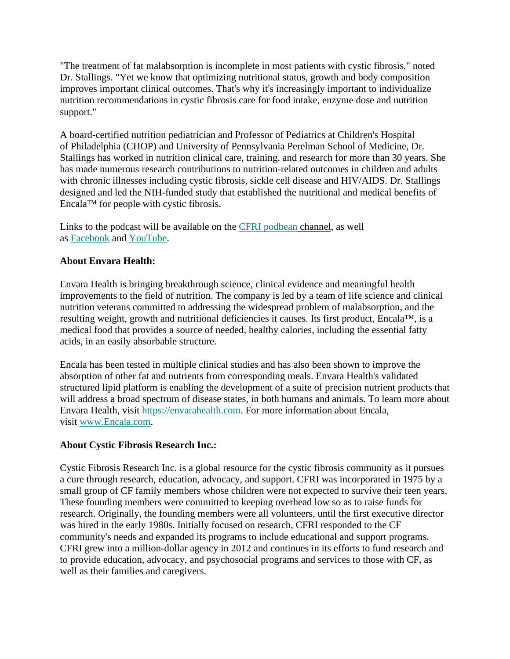"The treatment of fat malabsorption is incomplete in most patients with cystic fibrosis," noted Dr. Stallings. "Yet we know that optimizing nutritional status, growth and body composition improves important clinical outcomes. That's why it's increasingly important to individualize nutrition recommendations in cystic fibrosis care for food intake, enzyme dose and nutrition support."

A board-certified nutrition pediatrician and Professor of Pediatrics at Children's Hospital of Philadelphia (CHOP) and University of Pennsylvania Perelman School of Medicine, Dr. Stallings has worked in nutrition clinical care, training, and research for more than 30 years. She has made numerous research contributions to nutrition-related outcomes in children and adults with chronic illnesses including cystic fibrosis, sickle cell disease and HIV/AIDS. Dr. Stallings designed and led the NIH-funded study that established the nutritional and medical benefits of Encala™ for people with cystic fibrosis.

Links to the podcast will be available on the [CFRI podbean](https://c212.net/c/link/?t=0&l=en&o=3077570-1&h=4014261101&u=https%3A%2F%2Fcfri.podbean.com%2F&a=CFRI+podbean) channel, as well as [Facebook](https://c212.net/c/link/?t=0&l=en&o=3077570-1&h=3490479196&u=https%3A%2F%2Fwww.facebook.com%2Fcfri.org%2F&a=Facebook) and [YouTube.](https://c212.net/c/link/?t=0&l=en&o=3077570-1&h=239600833&u=https%3A%2F%2Fwww.youtube.com%2Fuser%2Fcfri2010%2Fplaylists&a=YouTube)

## **About Envara Health:**

Envara Health is bringing breakthrough science, clinical evidence and meaningful health improvements to the field of nutrition. The company is led by a team of life science and clinical nutrition veterans committed to addressing the widespread problem of malabsorption, and the resulting weight, growth and nutritional deficiencies it causes. Its first product, Encala™, is a medical food that provides a source of needed, healthy calories, including the essential fatty acids, in an easily absorbable structure.

Encala has been tested in multiple clinical studies and has also been shown to improve the absorption of other fat and nutrients from corresponding meals. Envara Health's validated structured lipid platform is enabling the development of a suite of precision nutrient products that will address a broad spectrum of disease states, in both humans and animals. To learn more about Envara Health, visit [https://envarahealth.com.](https://envarahealth.com/) For more information about Encala, visit [www.Encala.com.](https://c212.net/c/link/?t=0&l=en&o=3077570-1&h=3230102574&u=http%3A%2F%2Fwww.encala.com%2F&a=www.Encala.com)

## **About Cystic Fibrosis Research Inc.:**

Cystic Fibrosis Research Inc. is a global resource for the cystic fibrosis community as it pursues a cure through research, education, advocacy, and support. CFRI was incorporated in 1975 by a small group of CF family members whose children were not expected to survive their teen years. These founding members were committed to keeping overhead low so as to raise funds for research. Originally, the founding members were all volunteers, until the first executive director was hired in the early 1980s. Initially focused on research, CFRI responded to the CF community's needs and expanded its programs to include educational and support programs. CFRI grew into a million-dollar agency in 2012 and continues in its efforts to fund research and to provide education, advocacy, and psychosocial programs and services to those with CF, as well as their families and caregivers.